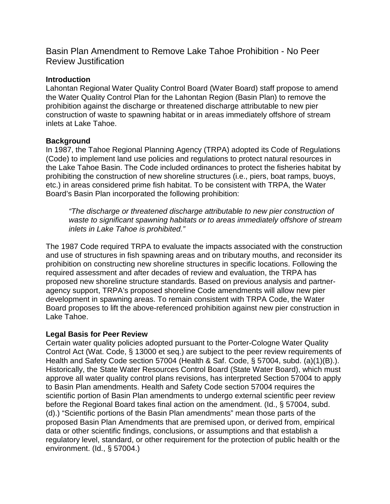Basin Plan Amendment to Remove Lake Tahoe Prohibition - No Peer Review Justification

## **Introduction**

Lahontan Regional Water Quality Control Board (Water Board) staff propose to amend the Water Quality Control Plan for the Lahontan Region (Basin Plan) to remove the prohibition against the discharge or threatened discharge attributable to new pier construction of waste to spawning habitat or in areas immediately offshore of stream inlets at Lake Tahoe.

# **Background**

In 1987, the Tahoe Regional Planning Agency (TRPA) adopted its Code of Regulations (Code) to implement land use policies and regulations to protect natural resources in the Lake Tahoe Basin. The Code included ordinances to protect the fisheries habitat by prohibiting the construction of new shoreline structures (i.e., piers, boat ramps, buoys, etc.) in areas considered prime fish habitat. To be consistent with TRPA, the Water Board's Basin Plan incorporated the following prohibition:

*"The discharge or threatened discharge attributable to new pier construction of waste to significant spawning habitats or to areas immediately offshore of stream inlets in Lake Tahoe is prohibited."*

The 1987 Code required TRPA to evaluate the impacts associated with the construction and use of structures in fish spawning areas and on tributary mouths, and reconsider its prohibition on constructing new shoreline structures in specific locations. Following the required assessment and after decades of review and evaluation, the TRPA has proposed new shoreline structure standards. Based on previous analysis and partneragency support, TRPA's proposed shoreline Code amendments will allow new pier development in spawning areas. To remain consistent with TRPA Code, the Water Board proposes to lift the above-referenced prohibition against new pier construction in Lake Tahoe.

### **Legal Basis for Peer Review**

Certain water quality policies adopted pursuant to the Porter-Cologne Water Quality Control Act (Wat. Code, § 13000 et seq.) are subject to the peer review requirements of Health and Safety Code section 57004 (Health & Saf. Code, § 57004, subd. (a)(1)(B).). Historically, the State Water Resources Control Board (State Water Board), which must approve all water quality control plans revisions, has interpreted Section 57004 to apply to Basin Plan amendments. Health and Safety Code section 57004 requires the scientific portion of Basin Plan amendments to undergo external scientific peer review before the Regional Board takes final action on the amendment. (Id., § 57004, subd. (d).) "Scientific portions of the Basin Plan amendments" mean those parts of the proposed Basin Plan Amendments that are premised upon, or derived from, empirical data or other scientific findings, conclusions, or assumptions and that establish a regulatory level, standard, or other requirement for the protection of public health or the environment. (Id., § 57004.)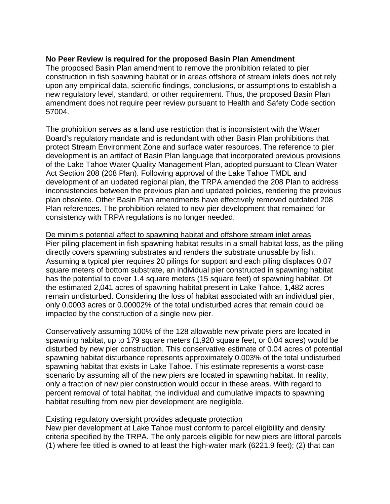# **No Peer Review is required for the proposed Basin Plan Amendment**

The proposed Basin Plan amendment to remove the prohibition related to pier construction in fish spawning habitat or in areas offshore of stream inlets does not rely upon any empirical data, scientific findings, conclusions, or assumptions to establish a new regulatory level, standard, or other requirement. Thus, the proposed Basin Plan amendment does not require peer review pursuant to Health and Safety Code section 57004.

The prohibition serves as a land use restriction that is inconsistent with the Water Board's regulatory mandate and is redundant with other Basin Plan prohibitions that protect Stream Environment Zone and surface water resources. The reference to pier development is an artifact of Basin Plan language that incorporated previous provisions of the Lake Tahoe Water Quality Management Plan, adopted pursuant to Clean Water Act Section 208 (208 Plan). Following approval of the Lake Tahoe TMDL and development of an updated regional plan, the TRPA amended the 208 Plan to address inconsistencies between the previous plan and updated policies, rendering the previous plan obsolete. Other Basin Plan amendments have effectively removed outdated 208 Plan references. The prohibition related to new pier development that remained for consistency with TRPA regulations is no longer needed.

De minimis potential affect to spawning habitat and offshore stream inlet areas Pier piling placement in fish spawning habitat results in a small habitat loss, as the piling directly covers spawning substrates and renders the substrate unusable by fish. Assuming a typical pier requires 20 pilings for support and each piling displaces 0.07 square meters of bottom substrate, an individual pier constructed in spawning habitat has the potential to cover 1.4 square meters (15 square feet) of spawning habitat. Of the estimated 2,041 acres of spawning habitat present in Lake Tahoe, 1,482 acres remain undisturbed. Considering the loss of habitat associated with an individual pier, only 0.0003 acres or 0.00002% of the total undisturbed acres that remain could be impacted by the construction of a single new pier.

Conservatively assuming 100% of the 128 allowable new private piers are located in spawning habitat, up to 179 square meters (1,920 square feet, or 0.04 acres) would be disturbed by new pier construction. This conservative estimate of 0.04 acres of potential spawning habitat disturbance represents approximately 0.003% of the total undisturbed spawning habitat that exists in Lake Tahoe. This estimate represents a worst-case scenario by assuming all of the new piers are located in spawning habitat. In reality, only a fraction of new pier construction would occur in these areas. With regard to percent removal of total habitat, the individual and cumulative impacts to spawning habitat resulting from new pier development are negligible.

## Existing regulatory oversight provides adequate protection

New pier development at Lake Tahoe must conform to parcel eligibility and density criteria specified by the TRPA. The only parcels eligible for new piers are littoral parcels (1) where fee titled is owned to at least the high-water mark (6221.9 feet); (2) that can